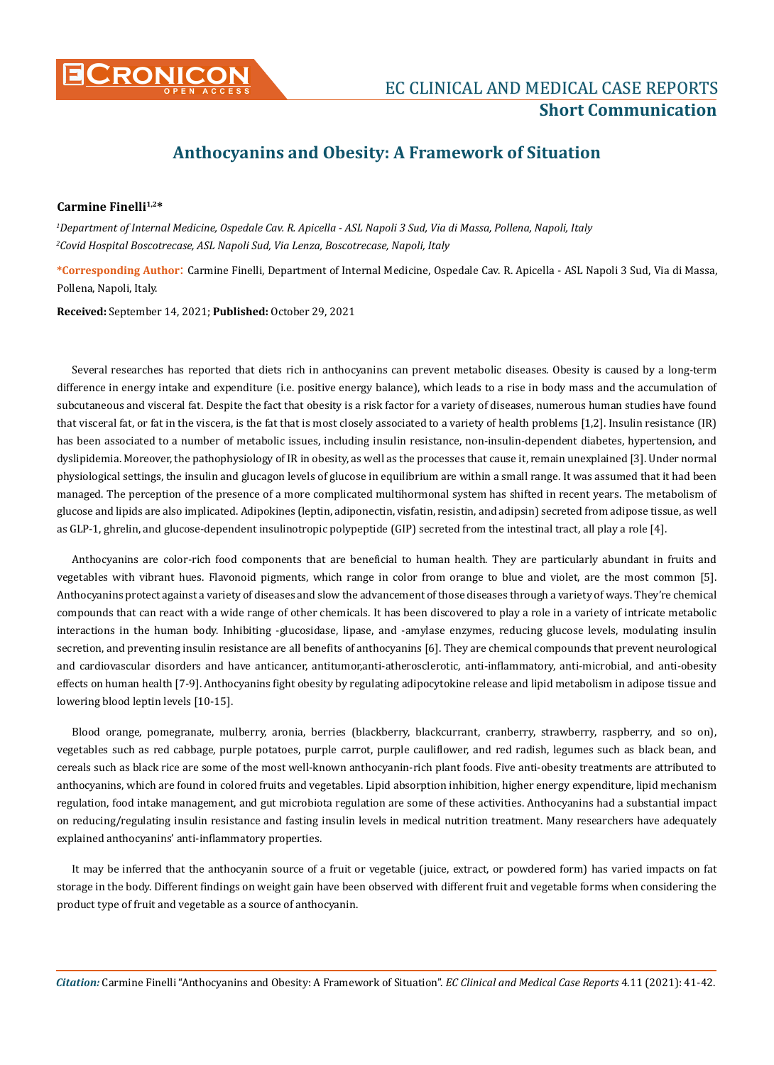

# **Anthocyanins and Obesity: A Framework of Situation**

### Carmine Finelli<sup>1,2\*</sup>

*1 Department of Internal Medicine, Ospedale Cav. R. Apicella - ASL Napoli 3 Sud, Via di Massa, Pollena, Napoli, Italy 2 Covid Hospital Boscotrecase, ASL Napoli Sud, Via Lenza, Boscotrecase, Napoli, Italy* 

**\*Corresponding Author**: Carmine Finelli, Department of Internal Medicine, Ospedale Cav. R. Apicella - ASL Napoli 3 Sud, Via di Massa, Pollena, Napoli, Italy.

**Received:** September 14, 2021; **Published:** October 29, 2021

Several researches has reported that diets rich in anthocyanins can prevent metabolic diseases. Obesity is caused by a long-term difference in energy intake and expenditure (i.e. positive energy balance), which leads to a rise in body mass and the accumulation of subcutaneous and visceral fat. Despite the fact that obesity is a risk factor for a variety of diseases, numerous human studies have found that visceral fat, or fat in the viscera, is the fat that is most closely associated to a variety of health problems [1,2]. Insulin resistance (IR) has been associated to a number of metabolic issues, including insulin resistance, non-insulin-dependent diabetes, hypertension, and dyslipidemia. Moreover, the pathophysiology of IR in obesity, as well as the processes that cause it, remain unexplained [3]. Under normal physiological settings, the insulin and glucagon levels of glucose in equilibrium are within a small range. It was assumed that it had been managed. The perception of the presence of a more complicated multihormonal system has shifted in recent years. The metabolism of glucose and lipids are also implicated. Adipokines (leptin, adiponectin, visfatin, resistin, and adipsin) secreted from adipose tissue, as well as GLP-1, ghrelin, and glucose-dependent insulinotropic polypeptide (GIP) secreted from the intestinal tract, all play a role [4].

Anthocyanins are color-rich food components that are beneficial to human health. They are particularly abundant in fruits and vegetables with vibrant hues. Flavonoid pigments, which range in color from orange to blue and violet, are the most common [5]. Anthocyanins protect against a variety of diseases and slow the advancement of those diseases through a variety of ways. They're chemical compounds that can react with a wide range of other chemicals. It has been discovered to play a role in a variety of intricate metabolic interactions in the human body. Inhibiting -glucosidase, lipase, and -amylase enzymes, reducing glucose levels, modulating insulin secretion, and preventing insulin resistance are all benefits of anthocyanins [6]. They are chemical compounds that prevent neurological and cardiovascular disorders and have anticancer, antitumor,anti-atherosclerotic, anti-inflammatory, anti-microbial, and anti-obesity effects on human health [7-9]. Anthocyanins fight obesity by regulating adipocytokine release and lipid metabolism in adipose tissue and lowering blood leptin levels [10-15].

Blood orange, pomegranate, mulberry, aronia, berries (blackberry, blackcurrant, cranberry, strawberry, raspberry, and so on), vegetables such as red cabbage, purple potatoes, purple carrot, purple cauliflower, and red radish, legumes such as black bean, and cereals such as black rice are some of the most well-known anthocyanin-rich plant foods. Five anti-obesity treatments are attributed to anthocyanins, which are found in colored fruits and vegetables. Lipid absorption inhibition, higher energy expenditure, lipid mechanism regulation, food intake management, and gut microbiota regulation are some of these activities. Anthocyanins had a substantial impact on reducing/regulating insulin resistance and fasting insulin levels in medical nutrition treatment. Many researchers have adequately explained anthocyanins' anti-inflammatory properties.

It may be inferred that the anthocyanin source of a fruit or vegetable (juice, extract, or powdered form) has varied impacts on fat storage in the body. Different findings on weight gain have been observed with different fruit and vegetable forms when considering the product type of fruit and vegetable as a source of anthocyanin.